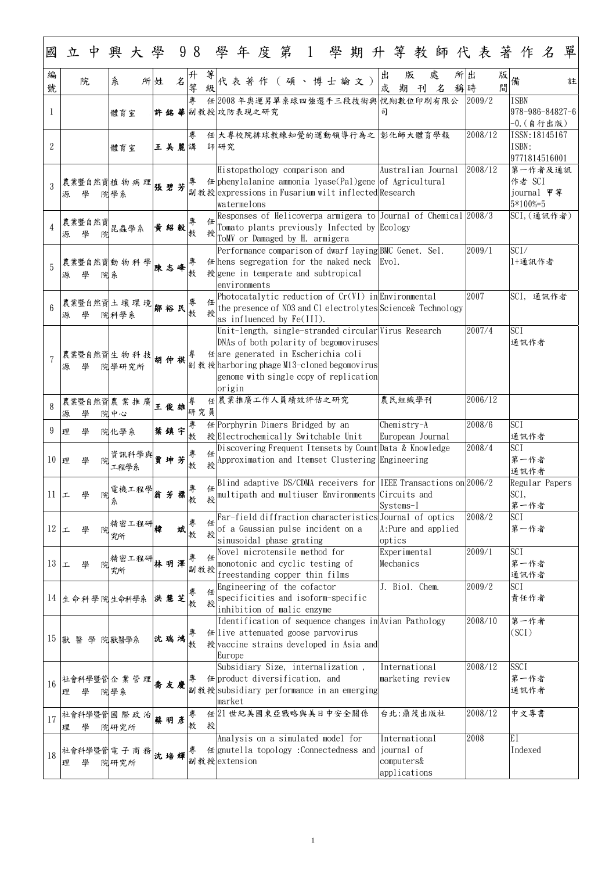1

| 國               | 立 |             | 中 |      |                        |    |      |              |          |        |        |              |                |  |                                                                                                                                                                                                                                 |  |  |        |                                             |   |                     |          |         |        | 興大學 98 學年度第 1 學期升等教師代表著作名      |                       | 單 |
|-----------------|---|-------------|---|------|------------------------|----|------|--------------|----------|--------|--------|--------------|----------------|--|---------------------------------------------------------------------------------------------------------------------------------------------------------------------------------------------------------------------------------|--|--|--------|---------------------------------------------|---|---------------------|----------|---------|--------|--------------------------------|-----------------------|---|
| 編<br>號          |   | 院           |   | 糸    |                        | 所姓 |      | $\cancel{z}$ | 升<br>等   | 等      |        |              |                |  | 代表著作 (碩、博士論文)                                                                                                                                                                                                                   |  |  | 出<br>或 | 版<br>期                                      | 刊 | 處<br>名              | 所出<br>稱時 |         | 版<br>間 | 備                              |                       | 註 |
|                 |   |             |   | 體育室  |                        |    |      |              | 專        |        |        |              | 許銘華副教授 攻防表現之研究 |  | 任 2008年奥運男單桌球四強選手三段技術與 悅翔數位印刷有限公                                                                                                                                                                                                |  |  | 司      |                                             |   |                     | 2009/2   |         |        | <b>ISBN</b><br>978-986-84827-6 | $-0.$ (自行出版)          |   |
| $\overline{2}$  |   |             |   | 體育室  |                        |    | 王美麗講 |              | 專        |        | 師研究    |              |                |  | 任大專校院排球教練知覺的運動領導行為之 彰化師大體育學報                                                                                                                                                                                                    |  |  |        |                                             |   |                     |          | 2008/12 |        | ISBN:<br>9771814516001         | ISSN: 18145167        |   |
| $\mathcal{S}$   | 源 | 學           |   | 院學系  | 農業暨自然資植物病理             |    | 張碧芳  |              | 專        |        |        | watermelons  |                |  | Histopathology comparison and<br>任 phenylalanine ammonia lyase(Pal)gene of Agricultural<br>副教授expressions in Fusarium wilt inflected Research                                                                                   |  |  |        |                                             |   | Australian Journal  | 2008/12  |         |        | 作者 SCI<br>5*100%=5             | 第一作者及通訊<br>journal 甲等 |   |
| $\overline{4}$  | 源 | 農業暨自然資      | 院 |      | 昆蟲學系                   |    | 黄紹毅  |              | 教        | 授      |        |              |                |  | Responses of Helicoverpa armigera to Journal of Chemical 2008/3<br>Tomato plants previously Infected by Ecology<br>ToMV or Damaged by H. armigera                                                                               |  |  |        |                                             |   |                     |          |         |        | SCI, (通訊作者)                    |                       |   |
| $\overline{5}$  | 源 |             | 院 | 糸    | 農業暨自然資 動 物 科 學         |    | 陳志峰  |              | 專<br>教   |        |        | environments |                |  | Performance comparison of dwarf laying BMC Genet. Sel.<br>任 hens segregation for the naked neck   Evol.<br>授 gene in temperate and subtropical                                                                                  |  |  |        |                                             |   |                     | 2009/1   |         |        | SCI/<br>1+通訊作者                 |                       |   |
| $6\overline{6}$ | 源 | 學           |   | 院科學系 | 農業暨自然資土 壤 環 境          |    | 鄒裕民  |              | 教        | 任<br>授 |        |              |                |  | Photocatalytic reduction of Cr(VI) inEnvironmental<br>the presence of NO3 and C1 electrolytes Science& Technology<br>as influenced by $Fe(III)$ .                                                                               |  |  |        |                                             |   |                     | 2007     |         |        |                                | SCI, 通訊作者             |   |
|                 | 源 | 學           |   |      | 農業暨自然資生物科技胡仲祺<br>院學研究所 |    |      |              | 專        |        | origin |              |                |  | Unit-length, single-stranded circular Virus Research<br>DNAs of both polarity of begomoviruses<br>$# $ are generated in Escherichia coli<br>副教授harboring phage M13-cloned begomovirus<br>genome with single copy of replication |  |  |        |                                             |   |                     | 2007/4   |         |        | <b>SCI</b><br>通訊作者             |                       |   |
| 8               | 源 |             |   | 院中心  | 農業暨自然資農業推廣             |    | 王俊雄  |              | 專<br>研究員 |        |        |              |                |  | 任農業推廣工作人員績效評估之研究                                                                                                                                                                                                                |  |  |        | 農民組織學刊                                      |   |                     |          | 2006/12 |        |                                |                       |   |
| 9               | 理 | 學           |   | 院化學系 |                        |    | 葉鎮宇  |              | 專<br>教   |        |        |              |                |  | 任 Porphyrin Dimers Bridged by an<br>授Electrochemically Switchable Unit                                                                                                                                                          |  |  |        | Chemistry-A                                 |   | European Journal    | 2008/6   |         |        | <b>SCI</b><br>通訊作者             |                       |   |
| 10              | 理 | 學           | 院 | 工程學系 | 資訊科學與                  |    |      |              | 教        |        |        |              |                |  | Discovering Frequent Itemsets by Count Data & Knowledge<br>後Approximation and Itemset Clustering Engineering                                                                                                                    |  |  |        |                                             |   |                     | 2008/4   |         |        | <b>SCI</b><br>第一作者<br>通訊作者     |                       |   |
| 11              | 工 | 學           | 院 | 糸    | 電機工程學                  |    | 翁芳   |              | 教        |        |        |              |                |  | 任 Blind adaptive DS/CDMA receivers for IEEE Transactions on 2006/2<br>境 multipath and multiuser Environments Circuits and                                                                                                       |  |  |        | Systems-I                                   |   |                     |          |         |        | Regular Papers<br>SCI,<br>第一作者 |                       |   |
| 12              | 工 | 學           | 院 | 究所   | 精密工程研                  | 韓  |      | 斌            | 教        | 授      |        |              |                |  | Far-field diffraction characteristics Journal of optics<br>of a Gaussian pulse incident on a<br>sinusoidal phase grating                                                                                                        |  |  |        | optics                                      |   | A: Pure and applied | 2008/2   |         |        | <b>SCI</b><br>第一作者             |                       |   |
| 13              | ᄕ | 學           |   | 究所   | 精密工程研                  |    | 林明澤  |              | 副教授      | 任      |        |              |                |  | Novel microtensile method for<br>monotonic and cyclic testing of<br>freestanding copper thin films                                                                                                                              |  |  |        | Experimental<br>Mechanics                   |   |                     | 2009/1   |         |        | <b>SCI</b><br>第一作者<br>通訊作者     |                       |   |
|                 |   |             |   |      | 14 生命科學院生命科學系          |    | 洪慧芝  |              | 教        | 授      |        |              |                |  | $\frac{1}{4}$ Engineering of the cofactor<br>specificities and isoform-specific<br>inhibition of malic enzyme                                                                                                                   |  |  |        | J. Biol. Chem.                              |   |                     | 2009/2   |         |        | <b>SCI</b><br>責任作者             |                       |   |
| 15              |   | 獸 醫 學 院獸醫學系 |   |      |                        |    | 沈瑞鸿  |              | 專<br>教   |        | Europe |              |                |  | Identification of sequence changes in Avian Pathology<br>$#$ live attenuated goose parvovirus<br>授vaccine strains developed in Asia and                                                                                         |  |  |        |                                             |   |                     |          | 2008/10 |        | 第一作者<br>(SCI)                  |                       |   |
|                 |   |             |   |      |                        |    | 友慶   |              | 專        |        | market |              |                |  | Subsidiary Size, internalization,<br>任 product diversification, and<br>副教授 subsidiary performance in an emerging                                                                                                                |  |  |        | International                               |   | marketing review    |          | 2008/12 |        | <b>SSCI</b><br>第一作者<br>通訊作者    |                       |   |
| 17              | 理 | 學           |   | 院研究所 | 社會科學暨管國際政治義明彥          |    |      |              | 專<br>教   | 授      |        |              |                |  | 任21世紀美國東亞戰略與美日中安全關係                                                                                                                                                                                                             |  |  |        |                                             |   | 台北:鼎茂出版社            |          | 2008/12 |        | 中文專書                           |                       |   |
| 18              | 理 | 學           |   | 院研究所 | 社會科學暨管電子商務 沈培輝         |    |      |              | 專        |        |        | 副教授extension |                |  | Analysis on a simulated model for<br>任 gnutella topology: Connectedness and journal of                                                                                                                                          |  |  |        | International<br>computers&<br>applications |   |                     | 2008     |         |        | EI<br>Indexed                  |                       |   |